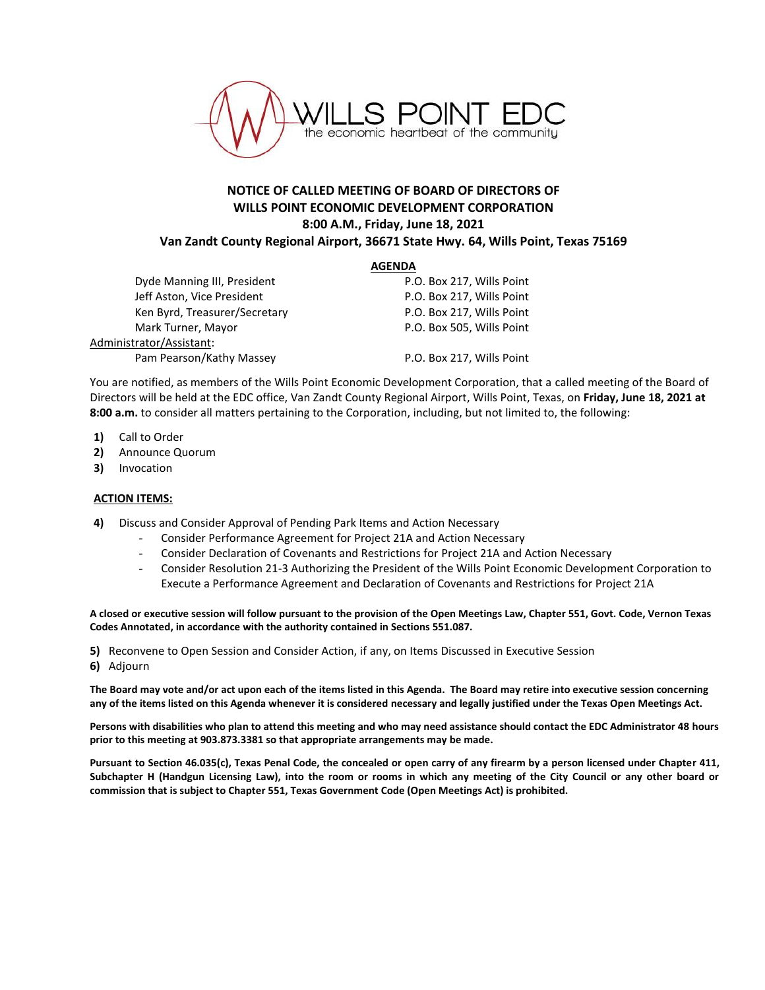

## **NOTICE OF CALLED MEETING OF BOARD OF DIRECTORS OF WILLS POINT ECONOMIC DEVELOPMENT CORPORATION 8:00 A.M., Friday, June 18, 2021 Van Zandt County Regional Airport, 36671 State Hwy. 64, Wills Point, Texas 75169**

## **AGENDA**

Dyde Manning III, President **P.O. Box 217, Wills Point** Jeff Aston, Vice President **P.O. Box 217, Wills Point** Ken Byrd, Treasurer/Secretary The Research R.O. Box 217, Wills Point Mark Turner, Mayor **P.O. Box 505, Wills Point** Administrator/Assistant: Pam Pearson/Kathy Massey P.O. Box 217, Wills Point

You are notified, as members of the Wills Point Economic Development Corporation, that a called meeting of the Board of Directors will be held at the EDC office, Van Zandt County Regional Airport, Wills Point, Texas, on **Friday, June 18, 2021 at 8:00 a.m.** to consider all matters pertaining to the Corporation, including, but not limited to, the following:

- **1)** Call to Order
- **2)** Announce Quorum
- **3)** Invocation

## **ACTION ITEMS:**

- **4)** Discuss and Consider Approval of Pending Park Items and Action Necessary
	- Consider Performance Agreement for Project 21A and Action Necessary
	- Consider Declaration of Covenants and Restrictions for Project 21A and Action Necessary
	- Consider Resolution 21-3 Authorizing the President of the Wills Point Economic Development Corporation to Execute a Performance Agreement and Declaration of Covenants and Restrictions for Project 21A

**A closed or executive session will follow pursuant to the provision of the Open Meetings Law, Chapter 551, Govt. Code, Vernon Texas Codes Annotated, in accordance with the authority contained in Sections 551.087.**

**5)** Reconvene to Open Session and Consider Action, if any, on Items Discussed in Executive Session

**6)** Adjourn

**The Board may vote and/or act upon each of the items listed in this Agenda. The Board may retire into executive session concerning any of the items listed on this Agenda whenever it is considered necessary and legally justified under the Texas Open Meetings Act.**

**Persons with disabilities who plan to attend this meeting and who may need assistance should contact the EDC Administrator 48 hours prior to this meeting at 903.873.3381 so that appropriate arrangements may be made.**

**Pursuant to Section 46.035(c), Texas Penal Code, the concealed or open carry of any firearm by a person licensed under Chapter 411, Subchapter H (Handgun Licensing Law), into the room or rooms in which any meeting of the City Council or any other board or commission that is subject to Chapter 551, Texas Government Code (Open Meetings Act) is prohibited.**